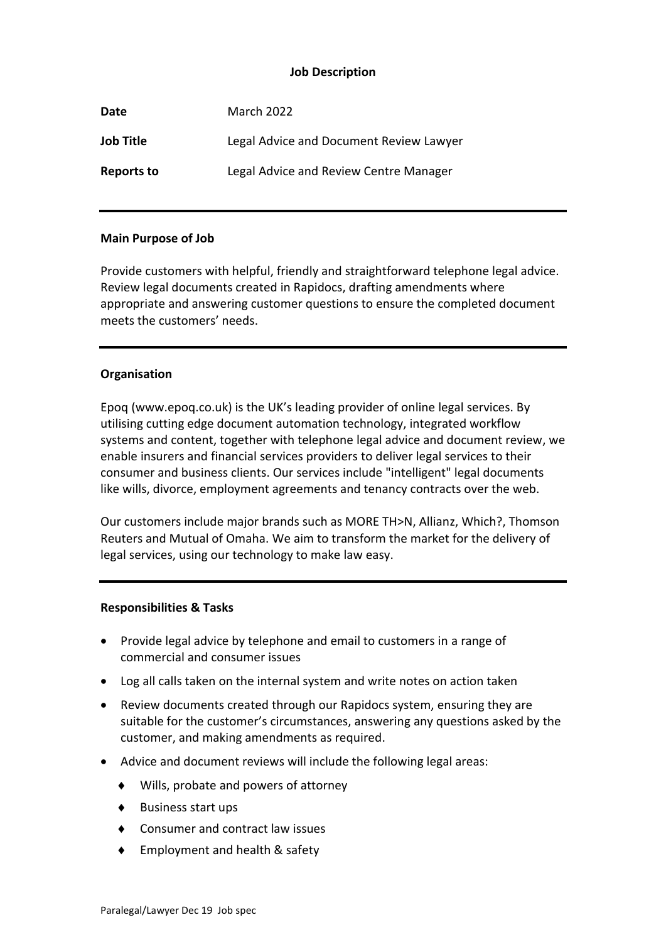## **Job Description**

| Date              | <b>March 2022</b>                       |
|-------------------|-----------------------------------------|
| <b>Job Title</b>  | Legal Advice and Document Review Lawyer |
| <b>Reports to</b> | Legal Advice and Review Centre Manager  |

## **Main Purpose of Job**

Provide customers with helpful, friendly and straightforward telephone legal advice. Review legal documents created in Rapidocs, drafting amendments where appropriate and answering customer questions to ensure the completed document meets the customers' needs.

## **Organisation**

Epoq (www.epoq.co.uk) is the UK's leading provider of online legal services. By utilising cutting edge document automation technology, integrated workflow systems and content, together with telephone legal advice and document review, we enable insurers and financial services providers to deliver legal services to their consumer and business clients. Our services include "intelligent" legal documents like wills, divorce, employment agreements and tenancy contracts over the web.

Our customers include major brands such as MORE TH>N, Allianz, Which?, Thomson Reuters and Mutual of Omaha. We aim to transform the market for the delivery of legal services, using our technology to make law easy.

#### **Responsibilities & Tasks**

- Provide legal advice by telephone and email to customers in a range of commercial and consumer issues
- Log all calls taken on the internal system and write notes on action taken
- Review documents created through our Rapidocs system, ensuring they are suitable for the customer's circumstances, answering any questions asked by the customer, and making amendments as required.
- Advice and document reviews will include the following legal areas:
	- ◆ Wills, probate and powers of attorney
	- ◆ Business start ups
	- ◆ Consumer and contract law issues
	- ◆ Employment and health & safety